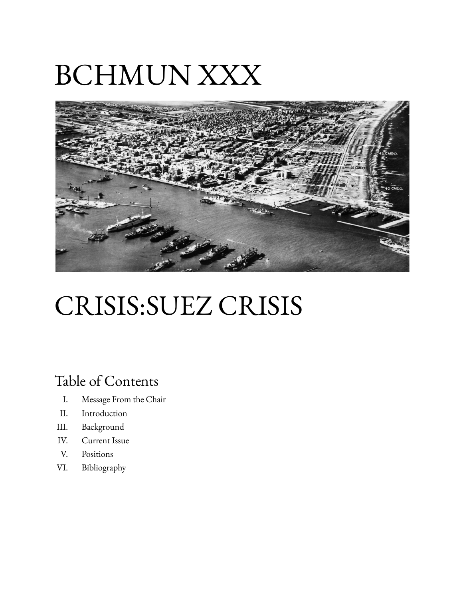# BCHMUN XXX



## CRISIS:SUEZ CRISIS

### Table of Contents

- I. Message From the Chair
- II. Introduction
- III. Background
- IV. Current Issue
- V. Positions
- VI. Bibliography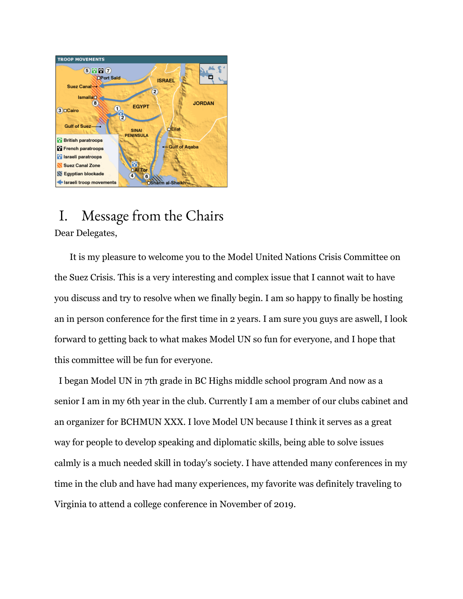

#### I. Message from the Chairs Dear Delegates,

It is my pleasure to welcome you to the Model United Nations Crisis Committee on the Suez Crisis. This is a very interesting and complex issue that I cannot wait to have you discuss and try to resolve when we finally begin. I am so happy to finally be hosting an in person conference for the first time in 2 years. I am sure you guys are aswell, I look forward to getting back to what makes Model UN so fun for everyone, and I hope that this committee will be fun for everyone.

I began Model UN in 7th grade in BC Highs middle school program And now as a senior I am in my 6th year in the club. Currently I am a member of our clubs cabinet and an organizer for BCHMUN XXX. I love Model UN because I think it serves as a great way for people to develop speaking and diplomatic skills, being able to solve issues calmly is a much needed skill in today's society. I have attended many conferences in my time in the club and have had many experiences, my favorite was definitely traveling to Virginia to attend a college conference in November of 2019.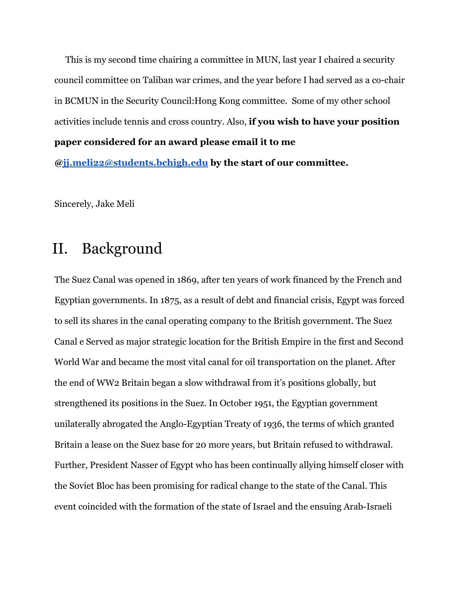This is my second time chairing a committee in MUN, last year I chaired a security council committee on Taliban war crimes, and the year before I had served as a co-chair in BCMUN in the Security Council:Hong Kong committee. Some of my other school activities include tennis and cross country. Also, **if you wish to have your position paper considered for an award please email it to me @[jj.meli22@students.bchigh.edu](mailto:jj.meli22@students.bchigh.edu) by the start of our committee.**

Sincerely, Jake Meli

### II. Background

The Suez Canal was opened in 1869, after ten years of work financed by the French and Egyptian governments. In 1875, as a result of debt and financial crisis, Egypt was forced to sell its shares in the canal operating company to the British government. The Suez Canal e Served as major strategic location for the British Empire in the first and Second World War and became the most vital canal for oil transportation on the planet. After the end of WW2 Britain began a slow withdrawal from it's positions globally, but strengthened its positions in the Suez. In October 1951, the Egyptian government unilaterally abrogated the Anglo-Egyptian Treaty of 1936, the terms of which granted Britain a lease on the Suez base for 20 more years, but Britain refused to withdrawal. Further, President Nasser of Egypt who has been continually allying himself closer with the Soviet Bloc has been promising for radical change to the state of the Canal. This event coincided with the formation of the state of Israel and the ensuing Arab-Israeli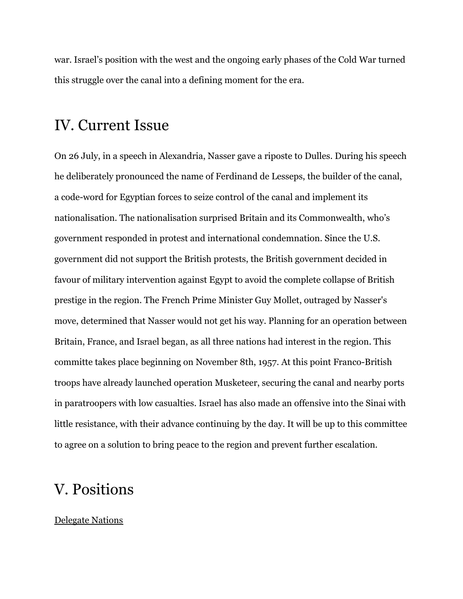war. Israel's position with the west and the ongoing early phases of the Cold War turned this struggle over the canal into a defining moment for the era.

#### IV. Current Issue

On 26 July, in a speech in Alexandria, Nasser gave a riposte to Dulles. During his speech he deliberately pronounced the name of Ferdinand de Lesseps, the builder of the canal, a code-word for Egyptian forces to seize control of the canal and implement its nationalisation. The nationalisation surprised Britain and its Commonwealth, who's government responded in protest and international condemnation. Since the U.S. government did not support the British protests, the British government decided in favour of military intervention against Egypt to avoid the complete collapse of British prestige in the region. The French Prime Minister Guy Mollet, outraged by Nasser's move, determined that Nasser would not get his way. Planning for an operation between Britain, France, and Israel began, as all three nations had interest in the region. This committe takes place beginning on November 8th, 1957. At this point Franco-British troops have already launched operation Musketeer, securing the canal and nearby ports in paratroopers with low casualties. Israel has also made an offensive into the Sinai with little resistance, with their advance continuing by the day. It will be up to this committee to agree on a solution to bring peace to the region and prevent further escalation.

#### V. Positions

#### Delegate Nations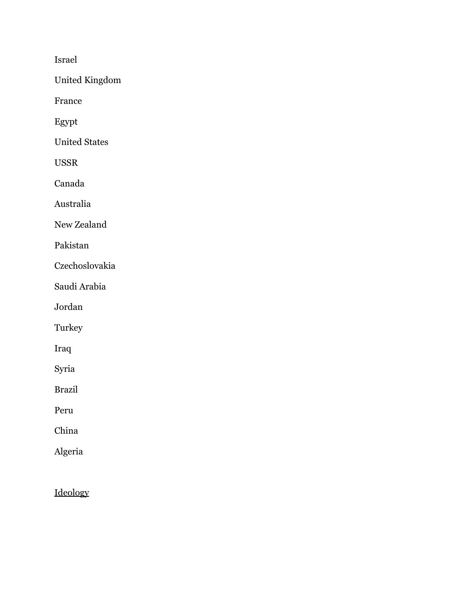Israel

United Kingdom

France

Egypt

United States

USSR

Canada

Australia

New Zealand

Pakistan

Czechoslovakia

Saudi Arabia

Jordan

Turkey

Iraq

Syria

Brazil

Peru

China

Algeria

Ideology